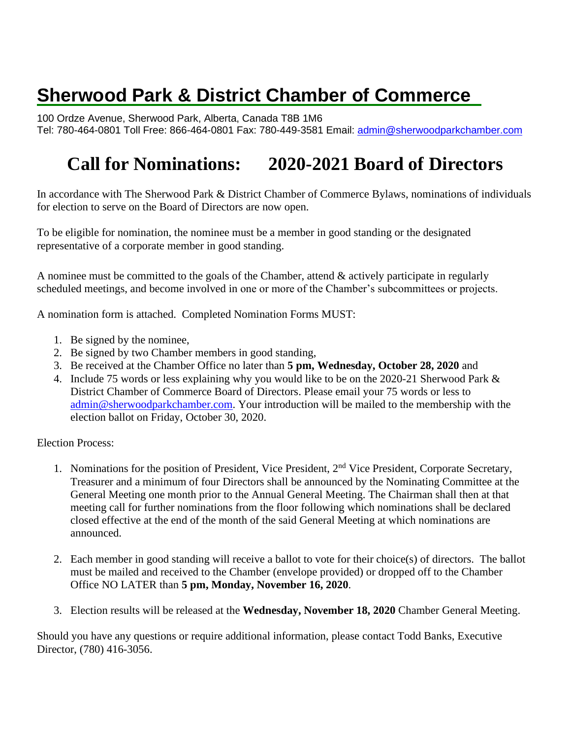# **Sherwood Park & District Chamber of Commerce**

100 Ordze Avenue, Sherwood Park, Alberta, Canada T8B 1M6 Tel: 780-464-0801 Toll Free: 866-464-0801 Fax: 780-449-3581 Email: [admin@sherwoodparkchamber.com](mailto:admin@sherwoodparkchamber.com)

## **Call for Nominations: 2020-2021 Board of Directors**

In accordance with The Sherwood Park & District Chamber of Commerce Bylaws, nominations of individuals for election to serve on the Board of Directors are now open.

To be eligible for nomination, the nominee must be a member in good standing or the designated representative of a corporate member in good standing.

A nominee must be committed to the goals of the Chamber, attend & actively participate in regularly scheduled meetings, and become involved in one or more of the Chamber's subcommittees or projects.

A nomination form is attached. Completed Nomination Forms MUST:

- 1. Be signed by the nominee,
- 2. Be signed by two Chamber members in good standing,
- 3. Be received at the Chamber Office no later than **5 pm, Wednesday, October 28, 2020** and
- 4. Include 75 words or less explaining why you would like to be on the 2020-21 Sherwood Park & District Chamber of Commerce Board of Directors. Please email your 75 words or less to [admin@sherwoodparkchamber.com.](mailto:admin@sherwoodparkchamber.com) Your introduction will be mailed to the membership with the election ballot on Friday, October 30, 2020.

Election Process:

- 1. Nominations for the position of President, Vice President, 2nd Vice President, Corporate Secretary, Treasurer and a minimum of four Directors shall be announced by the Nominating Committee at the General Meeting one month prior to the Annual General Meeting. The Chairman shall then at that meeting call for further nominations from the floor following which nominations shall be declared closed effective at the end of the month of the said General Meeting at which nominations are announced.
- 2. Each member in good standing will receive a ballot to vote for their choice(s) of directors. The ballot must be mailed and received to the Chamber (envelope provided) or dropped off to the Chamber Office NO LATER than **5 pm, Monday, November 16, 2020**.
- 3. Election results will be released at the **Wednesday, November 18, 2020** Chamber General Meeting.

Should you have any questions or require additional information, please contact Todd Banks, Executive Director, (780) 416-3056.